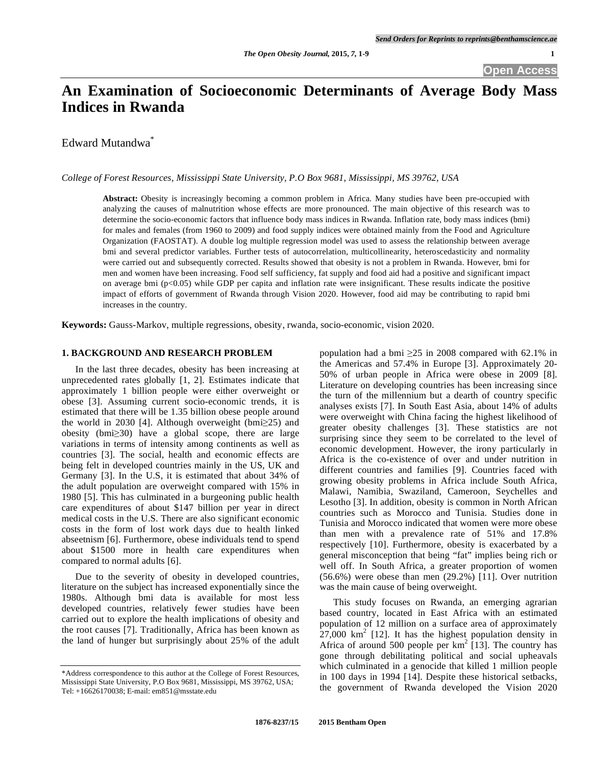# **An Examination of Socioeconomic Determinants of Average Body Mass Indices in Rwanda**

Edward Mutandwa<sup>\*</sup>

*College of Forest Resources, Mississippi State University, P.O Box 9681, Mississippi, MS 39762, USA* 

**Abstract:** Obesity is increasingly becoming a common problem in Africa. Many studies have been pre-occupied with analyzing the causes of malnutrition whose effects are more pronounced. The main objective of this research was to determine the socio-economic factors that influence body mass indices in Rwanda. Inflation rate, body mass indices (bmi) for males and females (from 1960 to 2009) and food supply indices were obtained mainly from the Food and Agriculture Organization (FAOSTAT). A double log multiple regression model was used to assess the relationship between average bmi and several predictor variables. Further tests of autocorrelation, multicollinearity, heteroscedasticity and normality were carried out and subsequently corrected. Results showed that obesity is not a problem in Rwanda. However, bmi for men and women have been increasing. Food self sufficiency, fat supply and food aid had a positive and significant impact on average bmi  $(p<0.05)$  while GDP per capita and inflation rate were insignificant. These results indicate the positive impact of efforts of government of Rwanda through Vision 2020. However, food aid may be contributing to rapid bmi increases in the country.

**Keywords:** Gauss-Markov, multiple regressions, obesity, rwanda, socio-economic, vision 2020.

# **1. BACKGROUND AND RESEARCH PROBLEM**

 In the last three decades, obesity has been increasing at unprecedented rates globally [1, 2]. Estimates indicate that approximately 1 billion people were either overweight or obese [3]. Assuming current socio-economic trends, it is estimated that there will be 1.35 billion obese people around the world in 2030 [4]. Although overweight (bmi $\geq$ 25) and obesity (bmi $\geq$ 30) have a global scope, there are large variations in terms of intensity among continents as well as countries [3]. The social, health and economic effects are being felt in developed countries mainly in the US, UK and Germany [3]. In the U.S, it is estimated that about 34% of the adult population are overweight compared with 15% in 1980 [5]. This has culminated in a burgeoning public health care expenditures of about \$147 billion per year in direct medical costs in the U.S. There are also significant economic costs in the form of lost work days due to health linked abseetnism [6]. Furthermore, obese individuals tend to spend about \$1500 more in health care expenditures when compared to normal adults [6].

 Due to the severity of obesity in developed countries, literature on the subject has increased exponentially since the 1980s. Although bmi data is available for most less developed countries, relatively fewer studies have been carried out to explore the health implications of obesity and the root causes [7]. Traditionally, Africa has been known as the land of hunger but surprisingly about 25% of the adult population had a bmi  $\geq 25$  in 2008 compared with 62.1% in the Americas and 57.4% in Europe [3]. Approximately 20- 50% of urban people in Africa were obese in 2009 [8]. Literature on developing countries has been increasing since the turn of the millennium but a dearth of country specific analyses exists [7]. In South East Asia, about 14% of adults were overweight with China facing the highest likelihood of greater obesity challenges [3]. These statistics are not surprising since they seem to be correlated to the level of economic development. However, the irony particularly in Africa is the co-existence of over and under nutrition in different countries and families [9]. Countries faced with growing obesity problems in Africa include South Africa, Malawi, Namibia, Swaziland, Cameroon, Seychelles and Lesotho [3]. In addition, obesity is common in North African countries such as Morocco and Tunisia. Studies done in Tunisia and Morocco indicated that women were more obese than men with a prevalence rate of 51% and 17.8% respectively [10]. Furthermore, obesity is exacerbated by a general misconception that being "fat" implies being rich or well off. In South Africa, a greater proportion of women (56.6%) were obese than men (29.2%) [11]. Over nutrition was the main cause of being overweight.

 This study focuses on Rwanda, an emerging agrarian based country, located in East Africa with an estimated population of 12 million on a surface area of approximately  $27,000$  km<sup>2</sup> [12]. It has the highest population density in Africa of around 500 people per  $\text{km}^2$  [13]. The country has gone through debilitating political and social upheavals which culminated in a genocide that killed 1 million people in 100 days in 1994 [14]. Despite these historical setbacks, the government of Rwanda developed the Vision 2020

<sup>\*</sup>Address correspondence to this author at the College of Forest Resources, Mississippi State University, P.O Box 9681, Mississippi, MS 39762, USA; Tel: +16626170038; E-mail: em851@msstate.edu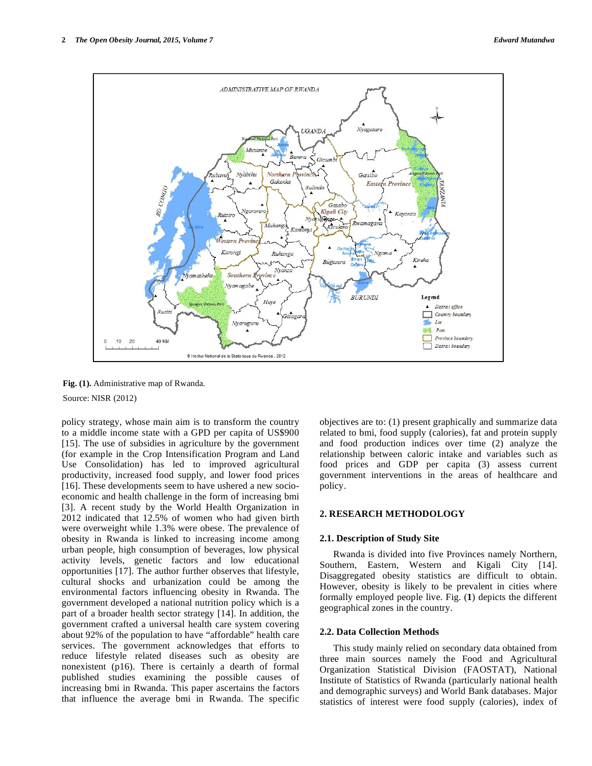

**Fig. (1).** Administrative map of Rwanda.

Source: NISR (2012)

policy strategy, whose main aim is to transform the country to a middle income state with a GPD per capita of US\$900 [15]. The use of subsidies in agriculture by the government (for example in the Crop Intensification Program and Land Use Consolidation) has led to improved agricultural productivity, increased food supply, and lower food prices [16]. These developments seem to have ushered a new socioeconomic and health challenge in the form of increasing bmi [3]. A recent study by the World Health Organization in 2012 indicated that 12.5% of women who had given birth were overweight while 1.3% were obese. The prevalence of obesity in Rwanda is linked to increasing income among urban people, high consumption of beverages, low physical activity levels, genetic factors and low educational opportunities [17]. The author further observes that lifestyle, cultural shocks and urbanization could be among the environmental factors influencing obesity in Rwanda. The government developed a national nutrition policy which is a part of a broader health sector strategy [14]. In addition, the government crafted a universal health care system covering about 92% of the population to have "affordable" health care services. The government acknowledges that efforts to reduce lifestyle related diseases such as obesity are nonexistent (p16). There is certainly a dearth of formal published studies examining the possible causes of increasing bmi in Rwanda. This paper ascertains the factors that influence the average bmi in Rwanda. The specific

objectives are to: (1) present graphically and summarize data related to bmi, food supply (calories), fat and protein supply and food production indices over time (2) analyze the relationship between caloric intake and variables such as food prices and GDP per capita (3) assess current government interventions in the areas of healthcare and policy.

# **2. RESEARCH METHODOLOGY**

#### **2.1. Description of Study Site**

 Rwanda is divided into five Provinces namely Northern, Southern, Eastern, Western and Kigali City [14]. Disaggregated obesity statistics are difficult to obtain. However, obesity is likely to be prevalent in cities where formally employed people live. Fig. (**1**) depicts the different geographical zones in the country.

#### **2.2. Data Collection Methods**

 This study mainly relied on secondary data obtained from three main sources namely the Food and Agricultural Organization Statistical Division (FAOSTAT), National Institute of Statistics of Rwanda (particularly national health and demographic surveys) and World Bank databases. Major statistics of interest were food supply (calories), index of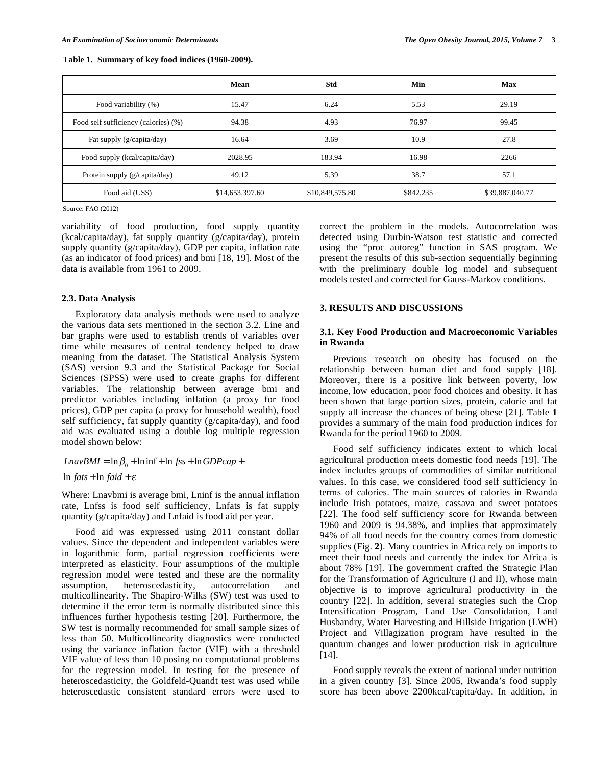| Table 1. Summary of key food indices (1960-2009). |
|---------------------------------------------------|
|---------------------------------------------------|

|                                      | Mean            | Std             | Min       | <b>Max</b>      |
|--------------------------------------|-----------------|-----------------|-----------|-----------------|
| Food variability (%)                 | 15.47           | 6.24            | 5.53      | 29.19           |
| Food self sufficiency (calories) (%) | 94.38           | 4.93            | 76.97     | 99.45           |
| Fat supply (g/capita/day)            | 16.64           | 3.69            | 10.9      | 27.8            |
| Food supply (kcal/capita/day)        | 2028.95         | 183.94          | 16.98     | 2266            |
| Protein supply (g/capita/day)        | 49.12           | 5.39            | 38.7      | 57.1            |
| Food aid (US\$)                      | \$14,653,397.60 | \$10,849,575.80 | \$842,235 | \$39,887,040.77 |

Source: FAO (2012)

variability of food production, food supply quantity (kcal/capita/day), fat supply quantity (g/capita/day), protein supply quantity (g/capita/day), GDP per capita, inflation rate (as an indicator of food prices) and bmi [18, 19]. Most of the data is available from 1961 to 2009.

#### **2.3. Data Analysis**

 Exploratory data analysis methods were used to analyze the various data sets mentioned in the section 3.2. Line and bar graphs were used to establish trends of variables over time while measures of central tendency helped to draw meaning from the dataset. The Statistical Analysis System (SAS) version 9.3 and the Statistical Package for Social Sciences (SPSS) were used to create graphs for different variables. The relationship between average bmi and predictor variables including inflation (a proxy for food prices), GDP per capita (a proxy for household wealth), food self sufficiency, fat supply quantity (g/capita/day), and food aid was evaluated using a double log multiple regression model shown below:

# $LnavBMI = \ln \beta_0 + \ln \inf + \ln fss + \ln GDPcap +$

 $\ln fats + \ln faid + \varepsilon$ 

Where: Lnavbmi is average bmi, Lninf is the annual inflation rate, Lnfss is food self sufficiency, Lnfats is fat supply quantity (g/capita/day) and Lnfaid is food aid per year.

 Food aid was expressed using 2011 constant dollar values. Since the dependent and independent variables were in logarithmic form, partial regression coefficients were interpreted as elasticity. Four assumptions of the multiple regression model were tested and these are the normality assumption, heteroscedasticity, autocorrelation and multicollinearity. The Shapiro-Wilks (SW) test was used to determine if the error term is normally distributed since this influences further hypothesis testing [20]. Furthermore, the SW test is normally recommended for small sample sizes of less than 50. Multicollinearity diagnostics were conducted using the variance inflation factor (VIF) with a threshold VIF value of less than 10 posing no computational problems for the regression model. In testing for the presence of heteroscedasticity, the Goldfeld-Quandt test was used while heteroscedastic consistent standard errors were used to

correct the problem in the models. Autocorrelation was detected using Durbin-Watson test statistic and corrected using the "proc autoreg" function in SAS program. We present the results of this sub-section sequentially beginning with the preliminary double log model and subsequent models tested and corrected for Gauss-Markov conditions.

# **3. RESULTS AND DISCUSSIONS**

#### **3.1. Key Food Production and Macroeconomic Variables in Rwanda**

 Previous research on obesity has focused on the relationship between human diet and food supply [18]. Moreover, there is a positive link between poverty, low income, low education, poor food choices and obesity. It has been shown that large portion sizes, protein, calorie and fat supply all increase the chances of being obese [21]. Table **1** provides a summary of the main food production indices for Rwanda for the period 1960 to 2009.

 Food self sufficiency indicates extent to which local agricultural production meets domestic food needs [19]. The index includes groups of commodities of similar nutritional values. In this case, we considered food self sufficiency in terms of calories. The main sources of calories in Rwanda include Irish potatoes, maize, cassava and sweet potatoes [22]. The food self sufficiency score for Rwanda between 1960 and 2009 is 94.38%, and implies that approximately 94% of all food needs for the country comes from domestic supplies (Fig. **2**). Many countries in Africa rely on imports to meet their food needs and currently the index for Africa is about 78% [19]. The government crafted the Strategic Plan for the Transformation of Agriculture (I and II), whose main objective is to improve agricultural productivity in the country [22]. In addition, several strategies such the Crop Intensification Program, Land Use Consolidation, Land Husbandry, Water Harvesting and Hillside Irrigation (LWH) Project and Villagization program have resulted in the quantum changes and lower production risk in agriculture [14].

 Food supply reveals the extent of national under nutrition in a given country [3]. Since 2005, Rwanda's food supply score has been above 2200kcal/capita/day. In addition, in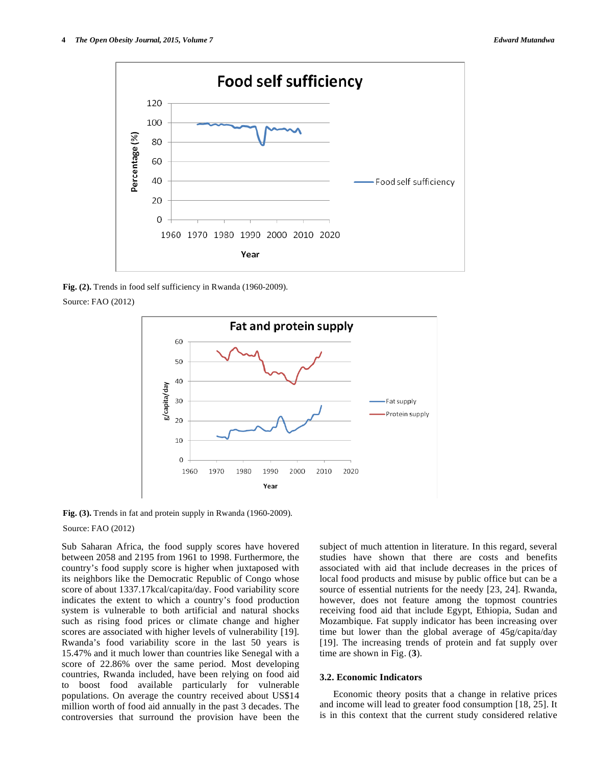

**Fig. (2).** Trends in food self sufficiency in Rwanda (1960-2009).

Source: FAO (2012)



Fig. (3). Trends in fat and protein supply in Rwanda (1960-2009).

Source: FAO (2012)

Sub Saharan Africa, the food supply scores have hovered between 2058 and 2195 from 1961 to 1998. Furthermore, the country's food supply score is higher when juxtaposed with its neighbors like the Democratic Republic of Congo whose score of about 1337.17kcal/capita/day. Food variability score indicates the extent to which a country's food production system is vulnerable to both artificial and natural shocks such as rising food prices or climate change and higher scores are associated with higher levels of vulnerability [19]. Rwanda's food variability score in the last 50 years is 15.47% and it much lower than countries like Senegal with a score of 22.86% over the same period. Most developing countries, Rwanda included, have been relying on food aid to boost food available particularly for vulnerable populations. On average the country received about US\$14 million worth of food aid annually in the past 3 decades. The controversies that surround the provision have been the subject of much attention in literature. In this regard, several studies have shown that there are costs and benefits associated with aid that include decreases in the prices of local food products and misuse by public office but can be a source of essential nutrients for the needy [23, 24]. Rwanda, however, does not feature among the topmost countries receiving food aid that include Egypt, Ethiopia, Sudan and Mozambique. Fat supply indicator has been increasing over time but lower than the global average of 45g/capita/day [19]. The increasing trends of protein and fat supply over time are shown in Fig. (**3**).

#### **3.2. Economic Indicators**

 Economic theory posits that a change in relative prices and income will lead to greater food consumption [18, 25]. It is in this context that the current study considered relative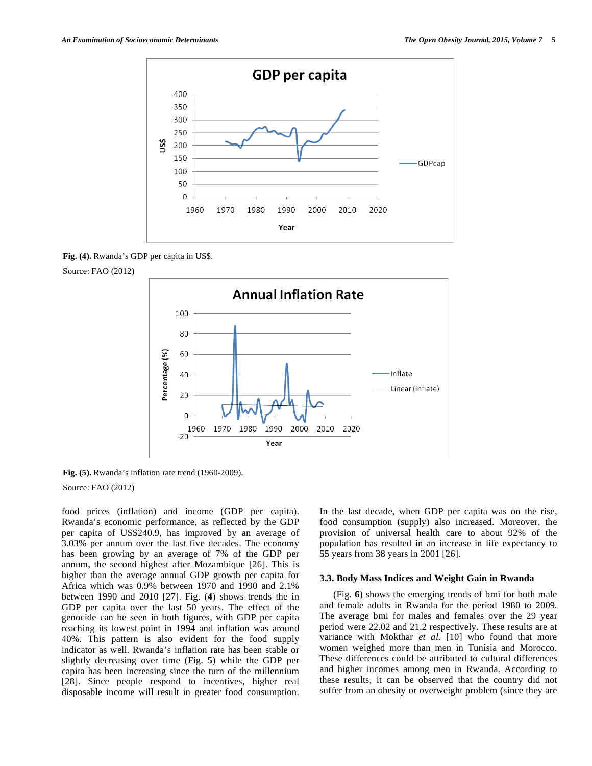

**Fig. (4).** Rwanda's GDP per capita in US\$.





**Fig. (5).** Rwanda's inflation rate trend (1960-2009).

Source: FAO (2012)

food prices (inflation) and income (GDP per capita). Rwanda's economic performance, as reflected by the GDP per capita of US\$240.9, has improved by an average of 3.03% per annum over the last five decades. The economy has been growing by an average of 7% of the GDP per annum, the second highest after Mozambique [26]. This is higher than the average annual GDP growth per capita for Africa which was 0.9% between 1970 and 1990 and 2.1% between 1990 and 2010 [27]. Fig. (**4**) shows trends the in GDP per capita over the last 50 years. The effect of the genocide can be seen in both figures, with GDP per capita reaching its lowest point in 1994 and inflation was around 40%. This pattern is also evident for the food supply indicator as well. Rwanda's inflation rate has been stable or slightly decreasing over time (Fig. **5**) while the GDP per capita has been increasing since the turn of the millennium [28]. Since people respond to incentives, higher real disposable income will result in greater food consumption. In the last decade, when GDP per capita was on the rise, food consumption (supply) also increased. Moreover, the provision of universal health care to about 92% of the population has resulted in an increase in life expectancy to 55 years from 38 years in 2001 [26].

#### **3.3. Body Mass Indices and Weight Gain in Rwanda**

 (Fig. **6**) shows the emerging trends of bmi for both male and female adults in Rwanda for the period 1980 to 2009. The average bmi for males and females over the 29 year period were 22.02 and 21.2 respectively. These results are at variance with Mokthar *et al.* [10] who found that more women weighed more than men in Tunisia and Morocco. These differences could be attributed to cultural differences and higher incomes among men in Rwanda. According to these results, it can be observed that the country did not suffer from an obesity or overweight problem (since they are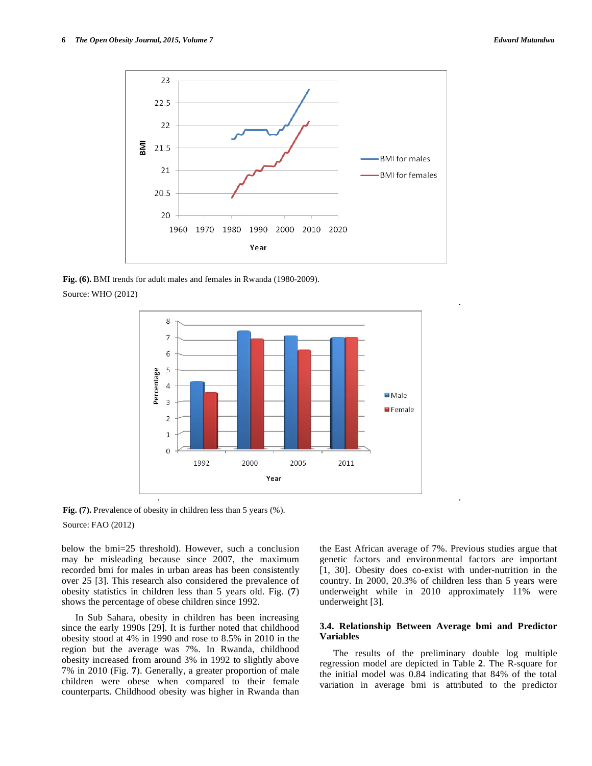

**Fig. (6).** BMI trends for adult males and females in Rwanda (1980-2009).

Source: WHO (2012)



**Fig. (7).** Prevalence of obesity in children less than 5 years (%).

Source: FAO (2012)

below the bmi=25 threshold). However, such a conclusion may be misleading because since 2007, the maximum recorded bmi for males in urban areas has been consistently over 25 [3]. This research also considered the prevalence of obesity statistics in children less than 5 years old. Fig. (**7**) shows the percentage of obese children since 1992.

 In Sub Sahara, obesity in children has been increasing since the early 1990s [29]. It is further noted that childhood obesity stood at 4% in 1990 and rose to 8.5% in 2010 in the region but the average was 7%. In Rwanda, childhood obesity increased from around 3% in 1992 to slightly above 7% in 2010 (Fig. **7**). Generally, a greater proportion of male children were obese when compared to their female counterparts. Childhood obesity was higher in Rwanda than the East African average of 7%. Previous studies argue that genetic factors and environmental factors are important [1, 30]. Obesity does co-exist with under-nutrition in the country. In 2000, 20.3% of children less than 5 years were underweight while in 2010 approximately 11% were underweight [3].

### **3.4. Relationship Between Average bmi and Predictor Variables**

 The results of the preliminary double log multiple regression model are depicted in Table **2**. The R-square for the initial model was 0.84 indicating that 84% of the total variation in average bmi is attributed to the predictor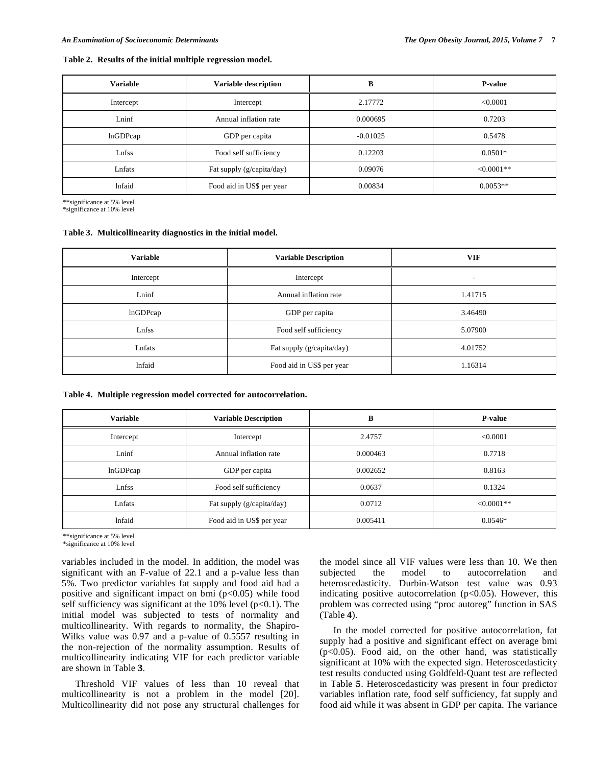#### **Table 2. Results of the initial multiple regression model.**

| <b>Variable</b> | Variable description      | B          | P-value     |
|-----------------|---------------------------|------------|-------------|
| Intercept       | Intercept                 | 2.17772    | < 0.0001    |
| Lninf           | Annual inflation rate     | 0.000695   | 0.7203      |
| lnGDPcap        | GDP per capita            | $-0.01025$ | 0.5478      |
| Lnfss           | Food self sufficiency     | 0.12203    | $0.0501*$   |
| Lnfats          | Fat supply (g/capita/day) | 0.09076    | $<0.0001**$ |
| <b>Infaid</b>   | Food aid in US\$ per year | 0.00834    | $0.0053**$  |

\*\*significance at 5% level

\*significance at 10% level

#### **Table 3. Multicollinearity diagnostics in the initial model.**

| <b>Variable</b> | <b>Variable Description</b> | <b>VIF</b>               |
|-----------------|-----------------------------|--------------------------|
| Intercept       | Intercept                   | $\overline{\phantom{a}}$ |
| Lninf           | Annual inflation rate       | 1.41715                  |
| lnGDPcap        | GDP per capita              | 3.46490                  |
| Lnfss           | Food self sufficiency       | 5.07900                  |
| Lnfats          | Fat supply (g/capita/day)   | 4.01752                  |
| <b>Infaid</b>   | Food aid in US\$ per year   | 1.16314                  |

#### **Table 4. Multiple regression model corrected for autocorrelation.**

| <b>Variable</b> | <b>Variable Description</b> | В        | <b>P-value</b> |
|-----------------|-----------------------------|----------|----------------|
| Intercept       | Intercept                   | 2.4757   | < 0.0001       |
| Lninf           | Annual inflation rate       | 0.000463 | 0.7718         |
| lnGDPcap        | GDP per capita              | 0.002652 | 0.8163         |
| Lnfss           | Food self sufficiency       | 0.0637   | 0.1324         |
| Lnfats          | Fat supply (g/capita/day)   | 0.0712   | $<0.0001**$    |
| <b>Infaid</b>   | Food aid in US\$ per year   | 0.005411 | $0.0546*$      |

\*\*significance at 5% level

\*significance at 10% level

variables included in the model. In addition, the model was significant with an F-value of 22.1 and a p-value less than 5%. Two predictor variables fat supply and food aid had a positive and significant impact on bmi  $(p<0.05)$  while food self sufficiency was significant at the 10% level  $(p<0.1)$ . The initial model was subjected to tests of normality and multicollinearity. With regards to normality, the Shapiro-Wilks value was 0.97 and a p-value of 0.5557 resulting in the non-rejection of the normality assumption. Results of multicollinearity indicating VIF for each predictor variable are shown in Table **3**.

 Threshold VIF values of less than 10 reveal that multicollinearity is not a problem in the model [20]. Multicollinearity did not pose any structural challenges for the model since all VIF values were less than 10. We then subjected the model to autocorrelation and heteroscedasticity. Durbin-Watson test value was 0.93 indicating positive autocorrelation ( $p<0.05$ ). However, this problem was corrected using "proc autoreg" function in SAS (Table **4**).

 In the model corrected for positive autocorrelation, fat supply had a positive and significant effect on average bmi (p<0.05). Food aid, on the other hand, was statistically significant at 10% with the expected sign. Heteroscedasticity test results conducted using Goldfeld-Quant test are reflected in Table **5**. Heteroscedasticity was present in four predictor variables inflation rate, food self sufficiency, fat supply and food aid while it was absent in GDP per capita. The variance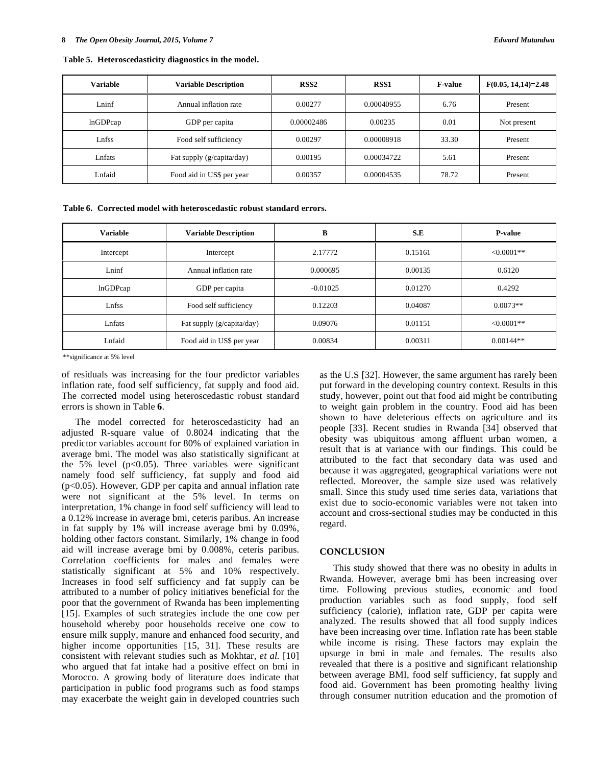| Variable | <b>Variable Description</b> | RSS <sub>2</sub> | <b>RSS1</b> | <b>F-value</b> | $F(0.05, 14, 14)=2.48$ |
|----------|-----------------------------|------------------|-------------|----------------|------------------------|
| Lninf    | Annual inflation rate       | 0.00277          | 0.00040955  | 6.76           | Present                |
| lnGDPcap | GDP per capita              | 0.00002486       | 0.00235     | 0.01           | Not present            |
| Lnfss    | Food self sufficiency       | 0.00297          | 0.00008918  | 33.30          | Present                |
| Lnfats   | Fat supply (g/capita/day)   | 0.00195          | 0.00034722  | 5.61           | Present                |
| Lnfaid   | Food aid in US\$ per year   | 0.00357          | 0.00004535  | 78.72          | Present                |

**Table 5. Heteroscedasticity diagnostics in the model.** 

**Table 6. Corrected model with heteroscedastic robust standard errors.** 

| <b>Variable</b> | <b>Variable Description</b> | В          | S.E     | <b>P-value</b> |
|-----------------|-----------------------------|------------|---------|----------------|
| Intercept       | Intercept                   | 2.17772    | 0.15161 | $<0.0001**$    |
| Lninf           | Annual inflation rate       | 0.000695   | 0.00135 | 0.6120         |
| lnGDPcap        | GDP per capita              | $-0.01025$ | 0.01270 | 0.4292         |
| Lnfss           | Food self sufficiency       | 0.12203    | 0.04087 | $0.0073**$     |
| Lnfats          | Fat supply (g/capita/day)   | 0.09076    | 0.01151 | $<0.0001**$    |
| Lnfaid          | Food aid in US\$ per year   | 0.00834    | 0.00311 | $0.00144**$    |

\*\*significance at 5% level

of residuals was increasing for the four predictor variables inflation rate, food self sufficiency, fat supply and food aid. The corrected model using heteroscedastic robust standard errors is shown in Table **6**.

 The model corrected for heteroscedasticity had an adjusted R-square value of 0.8024 indicating that the predictor variables account for 80% of explained variation in average bmi. The model was also statistically significant at the 5% level  $(p<0.05)$ . Three variables were significant namely food self sufficiency, fat supply and food aid (p<0.05). However, GDP per capita and annual inflation rate were not significant at the 5% level. In terms on interpretation, 1% change in food self sufficiency will lead to a 0.12% increase in average bmi, ceteris paribus. An increase in fat supply by 1% will increase average bmi by 0.09%, holding other factors constant. Similarly, 1% change in food aid will increase average bmi by 0.008%, ceteris paribus. Correlation coefficients for males and females were statistically significant at 5% and 10% respectively. Increases in food self sufficiency and fat supply can be attributed to a number of policy initiatives beneficial for the poor that the government of Rwanda has been implementing [15]. Examples of such strategies include the one cow per household whereby poor households receive one cow to ensure milk supply, manure and enhanced food security, and higher income opportunities [15, 31]. These results are consistent with relevant studies such as Mokhtar, *et al.* [10] who argued that fat intake had a positive effect on bmi in Morocco. A growing body of literature does indicate that participation in public food programs such as food stamps may exacerbate the weight gain in developed countries such as the U.S [32]. However, the same argument has rarely been put forward in the developing country context. Results in this study, however, point out that food aid might be contributing to weight gain problem in the country. Food aid has been shown to have deleterious effects on agriculture and its people [33]. Recent studies in Rwanda [34] observed that obesity was ubiquitous among affluent urban women, a result that is at variance with our findings. This could be attributed to the fact that secondary data was used and because it was aggregated, geographical variations were not reflected. Moreover, the sample size used was relatively small. Since this study used time series data, variations that exist due to socio-economic variables were not taken into account and cross-sectional studies may be conducted in this regard.

#### **CONCLUSION**

 This study showed that there was no obesity in adults in Rwanda. However, average bmi has been increasing over time. Following previous studies, economic and food production variables such as food supply, food self sufficiency (calorie), inflation rate, GDP per capita were analyzed. The results showed that all food supply indices have been increasing over time. Inflation rate has been stable while income is rising. These factors may explain the upsurge in bmi in male and females. The results also revealed that there is a positive and significant relationship between average BMI, food self sufficiency, fat supply and food aid. Government has been promoting healthy living through consumer nutrition education and the promotion of